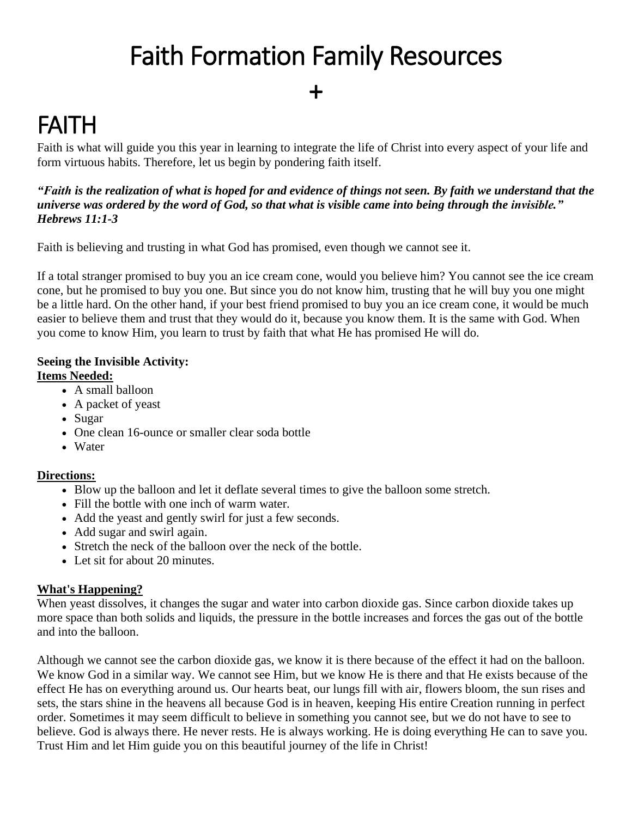# Faith Formation Family Resources

### +

## FAITH

Faith is what will guide you this year in learning to integrate the life of Christ into every aspect of your life and form virtuous habits. Therefore, let us begin by pondering faith itself.

#### "Faith is the realization of what is hoped for and evidence of things not seen. By faith we understand that the universe was ordered by the word of God, so that what is visible came into being through the invisible." *Hebrews 11:1-3*

Faith is believing and trusting in what God has promised, even though we cannot see it.

If a total stranger promised to buy you an ice cream cone, would you believe him? You cannot see the ice cream cone, but he promised to buy you one. But since you do not know him, trusting that he will buy you one might be a little hard. On the other hand, if your best friend promised to buy you an ice cream cone, it would be much easier to believe them and trust that they would do it, because you know them. It is the same with God. When you come to know Him, you learn to trust by faith that what He has promised He will do.

### **Seeing the Invisible Activity:**

#### **Items Needed:**

- A small balloon
- A packet of yeast
- Sugar
- One clean 16-ounce or smaller clear soda bottle
- Water

#### **Directions:**

- Blow up the balloon and let it deflate several times to give the balloon some stretch.
- Fill the bottle with one inch of warm water.
- Add the yeast and gently swirl for just a few seconds.
- Add sugar and swirl again.
- Stretch the neck of the balloon over the neck of the bottle.
- Let sit for about 20 minutes.

#### **What's Happening?**

When yeast dissolves, it changes the sugar and water into carbon dioxide gas. Since carbon dioxide takes up more space than both solids and liquids, the pressure in the bottle increases and forces the gas out of the bottle and into the balloon.

Although we cannot see the carbon dioxide gas, we know it is there because of the effect it had on the balloon. We know God in a similar way. We cannot see Him, but we know He is there and that He exists because of the effect He has on everything around us. Our hearts beat, our lungs fill with air, flowers bloom, the sun rises and sets, the stars shine in the heavens all because God is in heaven, keeping His entire Creation running in perfect order. Sometimes it may seem difficult to believe in something you cannot see, but we do not have to see to believe. God is always there. He never rests. He is always working. He is doing everything He can to save you. Trust Him and let Him guide you on this beautiful journey of the life in Christ!